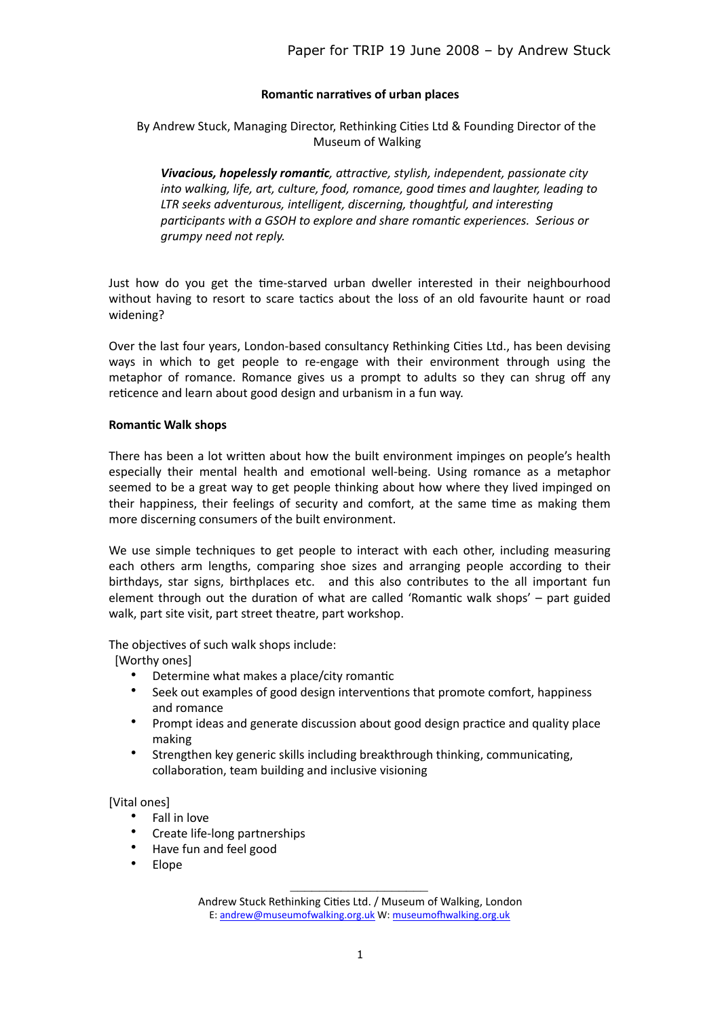### **Romantic narratives of urban places**

By Andrew Stuck, Managing Director, Rethinking Cities Ltd & Founding Director of the Museum of Walking 

**Vivacious, hopelessly romantic**, attractive, stylish, independent, passionate city *into* walking, life, art, culture, food, romance, good times and laughter, leading to LTR seeks adventurous, intelligent, discerning, thoughtful, and interesting participants with a GSOH to explore and share romantic experiences. Serious or *grumpy need not reply.* 

Just how do you get the time-starved urban dweller interested in their neighbourhood without having to resort to scare tactics about the loss of an old favourite haunt or road widening? 

Over the last four years, London-based consultancy Rethinking Cities Ltd., has been devising ways in which to get people to re-engage with their environment through using the metaphor of romance. Romance gives us a prompt to adults so they can shrug off any reticence and learn about good design and urbanism in a fun way.

### **Romantic Walk shops**

There has been a lot written about how the built environment impinges on people's health especially their mental health and emotional well-being. Using romance as a metaphor seemed to be a great way to get people thinking about how where they lived impinged on their happiness, their feelings of security and comfort, at the same time as making them more discerning consumers of the built environment.

We use simple techniques to get people to interact with each other, including measuring each others arm lengths, comparing shoe sizes and arranging people according to their birthdays, star signs, birthplaces etc. and this also contributes to the all important fun element through out the duration of what are called 'Romantic walk shops'  $-$  part guided walk, part site visit, part street theatre, part workshop.

The objectives of such walk shops include:

[Worthy ones]

- Determine what makes a place/city romantic
- Seek out examples of good design interventions that promote comfort, happiness and romance
- Prompt ideas and generate discussion about good design practice and quality place making
- Strengthen key generic skills including breakthrough thinking, communicating, collaboration, team building and inclusive visioning

### [Vital ones]

- Fall in love
- Create life-long partnerships
- Have fun and feel good
- Elope

 $\mathcal{L}_\text{max}$ 

Andrew Stuck Rethinking Cities Ltd. / Museum of Walking, London E: [andrew@museumofwalking.org.uk](mailto:andrew@museumofwalking.org.uk) W: museumofhwalking.org.uk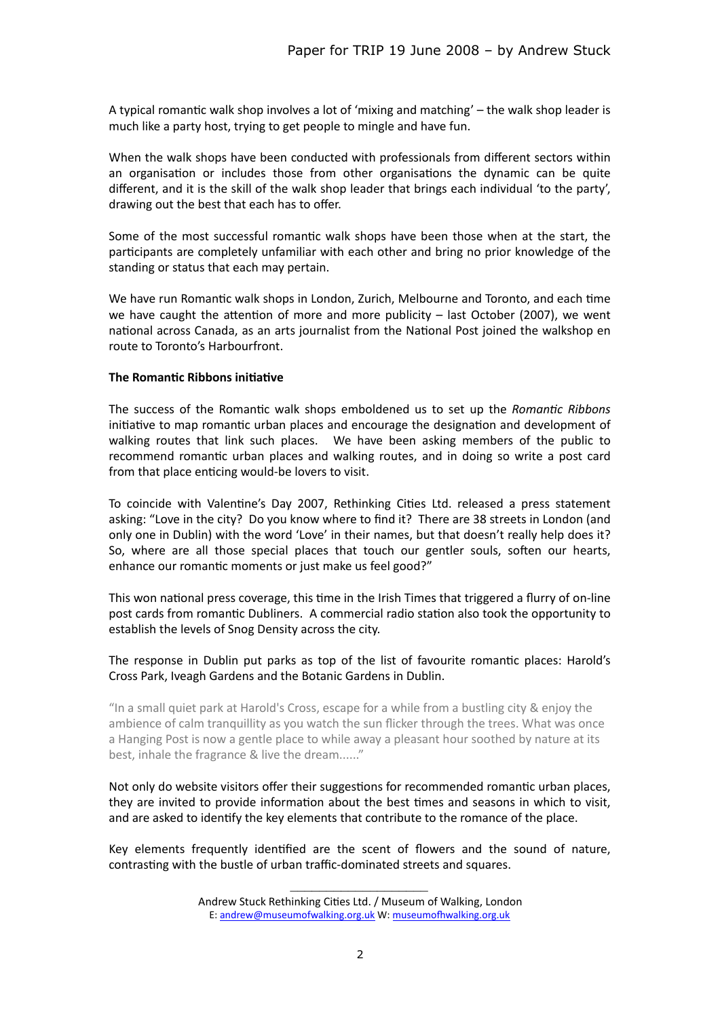A typical romantic walk shop involves a lot of 'mixing and matching' – the walk shop leader is much like a party host, trying to get people to mingle and have fun.

When the walk shops have been conducted with professionals from different sectors within an organisation or includes those from other organisations the dynamic can be quite different, and it is the skill of the walk shop leader that brings each individual 'to the party', drawing out the best that each has to offer.

Some of the most successful romantic walk shops have been those when at the start, the participants are completely unfamiliar with each other and bring no prior knowledge of the standing or status that each may pertain.

We have run Romantic walk shops in London, Zurich, Melbourne and Toronto, and each time we have caught the attention of more and more publicity  $-$  last October (2007), we went national across Canada, as an arts journalist from the National Post joined the walkshop en route to Toronto's Harbourfront.

### **The Romantic Ribbons initiative**

The success of the Romantic walk shops emboldened us to set up the *Romantic Ribbons* initiative to map romantic urban places and encourage the designation and development of walking routes that link such places. We have been asking members of the public to recommend romantic urban places and walking routes, and in doing so write a post card from that place enticing would-be lovers to visit.

To coincide with Valentine's Day 2007, Rethinking Cities Ltd. released a press statement asking: "Love in the city? Do you know where to find it? There are 38 streets in London (and only one in Dublin) with the word 'Love' in their names, but that doesn't really help does it? So, where are all those special places that touch our gentler souls, soften our hearts, enhance our romantic moments or just make us feel good?"

This won national press coverage, this time in the Irish Times that triggered a flurry of on-line post cards from romantic Dubliners. A commercial radio station also took the opportunity to establish the levels of Snog Density across the city.

The response in Dublin put parks as top of the list of favourite romantic places: Harold's Cross Park, Iveagh Gardens and the Botanic Gardens in Dublin.

"In a small quiet park at Harold's Cross, escape for a while from a bustling city  $\&$  enjoy the ambience of calm tranquillity as you watch the sun flicker through the trees. What was once a Hanging Post is now a gentle place to while away a pleasant hour soothed by nature at its best, inhale the fragrance & live the dream......"

Not only do website visitors offer their suggestions for recommended romantic urban places, they are invited to provide information about the best times and seasons in which to visit, and are asked to identify the key elements that contribute to the romance of the place.

Key elements frequently identified are the scent of flowers and the sound of nature, contrasting with the bustle of urban traffic-dominated streets and squares.

 $\mathcal{L}_\text{max}$ 

Andrew Stuck Rethinking Cities Ltd. / Museum of Walking, London E: [andrew@museumofwalking.org.uk](mailto:andrew@museumofwalking.org.uk) W: museumofhwalking.org.uk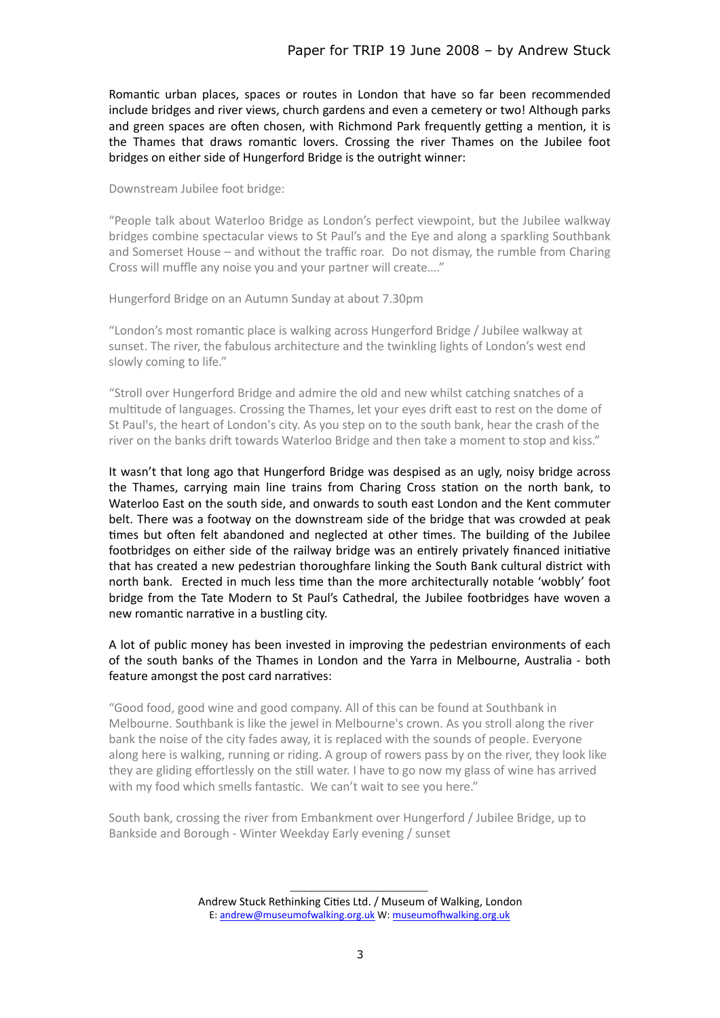Romantic urban places, spaces or routes in London that have so far been recommended include bridges and river views, church gardens and even a cemetery or two! Although parks and green spaces are often chosen, with Richmond Park frequently getting a mention, it is the Thames that draws romantic lovers. Crossing the river Thames on the Jubilee foot bridges on either side of Hungerford Bridge is the outright winner:

Downstream Jubilee foot bridge:

"People talk about Waterloo Bridge as London's perfect viewpoint, but the Jubilee walkway bridges combine spectacular views to St Paul's and the Eye and along a sparkling Southbank and Somerset House  $-$  and without the traffic roar. Do not dismay, the rumble from Charing Cross will muffle any noise you and your partner will create...."

Hungerford Bridge on an Autumn Sunday at about 7.30pm

"London's most romantic place is walking across Hungerford Bridge / Jubilee walkway at sunset. The river, the fabulous architecture and the twinkling lights of London's west end slowly coming to life."

"Stroll over Hungerford Bridge and admire the old and new whilst catching snatches of a multitude of languages. Crossing the Thames, let your eyes drift east to rest on the dome of St Paul's, the heart of London's city. As you step on to the south bank, hear the crash of the river on the banks drift towards Waterloo Bridge and then take a moment to stop and kiss."

It wasn't that long ago that Hungerford Bridge was despised as an ugly, noisy bridge across the Thames, carrying main line trains from Charing Cross station on the north bank, to Waterloo East on the south side, and onwards to south east London and the Kent commuter belt. There was a footway on the downstream side of the bridge that was crowded at peak times but often felt abandoned and neglected at other times. The building of the Jubilee footbridges on either side of the railway bridge was an entirely privately financed initiative that has created a new pedestrian thoroughfare linking the South Bank cultural district with north bank. Erected in much less time than the more architecturally notable 'wobbly' foot bridge from the Tate Modern to St Paul's Cathedral, the Jubilee footbridges have woven a new romantic narrative in a bustling city.

A lot of public money has been invested in improving the pedestrian environments of each of the south banks of the Thames in London and the Yarra in Melbourne, Australia - both feature amongst the post card narratives:

"Good food, good wine and good company. All of this can be found at Southbank in Melbourne. Southbank is like the jewel in Melbourne's crown. As you stroll along the river bank the noise of the city fades away, it is replaced with the sounds of people. Everyone along here is walking, running or riding. A group of rowers pass by on the river, they look like they are gliding effortlessly on the still water. I have to go now my glass of wine has arrived with my food which smells fantastic. We can't wait to see you here."

South bank, crossing the river from Embankment over Hungerford / Jubilee Bridge, up to Bankside and Borough - Winter Weekday Early evening / sunset

 $\mathcal{L}_\text{max}$ Andrew Stuck Rethinking Cities Ltd. / Museum of Walking, London E: [andrew@museumofwalking.org.uk](mailto:andrew@museumofwalking.org.uk) W: museumofhwalking.org.uk